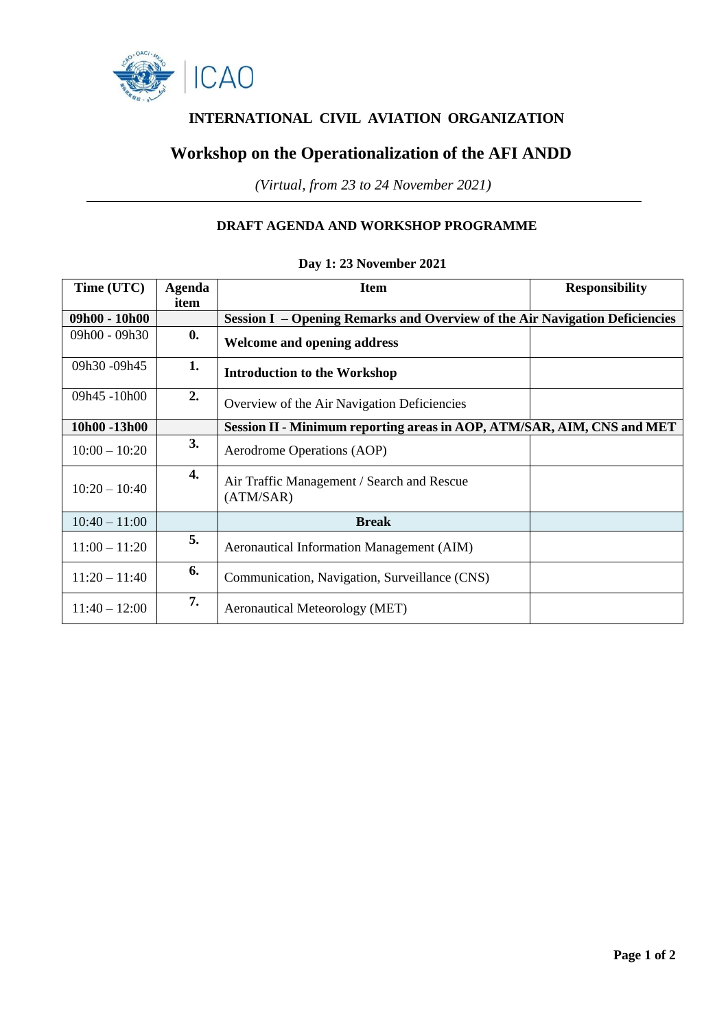

# **INTERNATIONAL CIVIL AVIATION ORGANIZATION**

## **Workshop on the Operationalization of the AFI ANDD**

*(Virtual, from 23 to 24 November 2021)*

### **DRAFT AGENDA AND WORKSHOP PROGRAMME**

| Time (UTC)      | Agenda<br>item | <b>Item</b>                                                                 | <b>Responsibility</b> |
|-----------------|----------------|-----------------------------------------------------------------------------|-----------------------|
| $09h00 - 10h00$ |                | Session I – Opening Remarks and Overview of the Air Navigation Deficiencies |                       |
| 09h00 - 09h30   | $\mathbf{0}$ . | <b>Welcome and opening address</b>                                          |                       |
| 09h30 -09h45    | 1.             | <b>Introduction to the Workshop</b>                                         |                       |
| 09h45-10h00     | 2.             | Overview of the Air Navigation Deficiencies                                 |                       |
| 10h00-13h00     |                | Session II - Minimum reporting areas in AOP, ATM/SAR, AIM, CNS and MET      |                       |
| $10:00 - 10:20$ | 3.             | Aerodrome Operations (AOP)                                                  |                       |
| $10:20 - 10:40$ | 4.             | Air Traffic Management / Search and Rescue<br>(ATM/SAR)                     |                       |
| $10:40 - 11:00$ |                | <b>Break</b>                                                                |                       |
| $11:00 - 11:20$ | 5.             | <b>Aeronautical Information Management (AIM)</b>                            |                       |
| $11:20 - 11:40$ | 6.             | Communication, Navigation, Surveillance (CNS)                               |                       |
| $11:40 - 12:00$ | 7.             | Aeronautical Meteorology (MET)                                              |                       |

#### **Day 1: 23 November 2021**